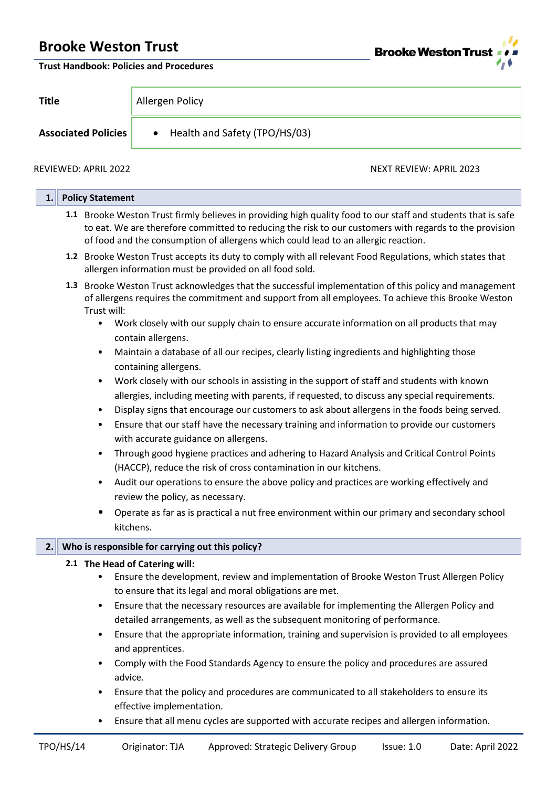

**Trust Handbook: Policies and Procedures**

| Title                      | Allergen Policy                            |                         |  |  |  |
|----------------------------|--------------------------------------------|-------------------------|--|--|--|
| <b>Associated Policies</b> | Health and Safety (TPO/HS/03)<br>$\bullet$ |                         |  |  |  |
| REVIEWED: APRIL 2022       |                                            | NEXT REVIEW: APRIL 2023 |  |  |  |

| 1. | <b>Policy Statement</b>                                                                                                                                                                                                                                                                                       |
|----|---------------------------------------------------------------------------------------------------------------------------------------------------------------------------------------------------------------------------------------------------------------------------------------------------------------|
|    | 1.1 Brooke Weston Trust firmly believes in providing high quality food to our staff and students that is safe<br>to eat. We are therefore committed to reducing the risk to our customers with regards to the provision<br>of food and the consumption of allergens which could lead to an allergic reaction. |
|    | 1.2 Brooke Weston Trust accepts its duty to comply with all relevant Food Regulations, which states that<br>allergen information must be provided on all food sold.                                                                                                                                           |
|    | 1.3 Brooke Weston Trust acknowledges that the successful implementation of this policy and management<br>of allergens requires the commitment and support from all employees. To achieve this Brooke Weston<br>Trust will:                                                                                    |
|    | Work closely with our supply chain to ensure accurate information on all products that may<br>$\bullet$<br>contain allergens.                                                                                                                                                                                 |
|    | Maintain a database of all our recipes, clearly listing ingredients and highlighting those<br>$\bullet$<br>containing allergens.                                                                                                                                                                              |
|    | Work closely with our schools in assisting in the support of staff and students with known<br>$\bullet$                                                                                                                                                                                                       |
|    | allergies, including meeting with parents, if requested, to discuss any special requirements.                                                                                                                                                                                                                 |
|    | Display signs that encourage our customers to ask about allergens in the foods being served.<br>٠                                                                                                                                                                                                             |
|    | Ensure that our staff have the necessary training and information to provide our customers<br>$\bullet$<br>with accurate guidance on allergens.                                                                                                                                                               |
|    | Through good hygiene practices and adhering to Hazard Analysis and Critical Control Points<br>٠<br>(HACCP), reduce the risk of cross contamination in our kitchens.                                                                                                                                           |
|    | Audit our operations to ensure the above policy and practices are working effectively and<br>review the policy, as necessary.                                                                                                                                                                                 |
|    | Operate as far as is practical a nut free environment within our primary and secondary school<br>kitchens.                                                                                                                                                                                                    |
| 2. | Who is responsible for carrying out this policy?                                                                                                                                                                                                                                                              |
|    | 2.1 The Head of Catering will:                                                                                                                                                                                                                                                                                |
|    | Ensure the development, review and implementation of Brooke Weston Trust Allergen Policy                                                                                                                                                                                                                      |
|    | to ensure that its legal and moral obligations are met.                                                                                                                                                                                                                                                       |
|    | Ensure that the necessary resources are available for implementing the Allergen Policy and                                                                                                                                                                                                                    |
|    | detailed arrangements, as well as the subsequent monitoring of performance.                                                                                                                                                                                                                                   |
|    | Ensure that the appropriate information, training and supervision is provided to all employees<br>and apprentices.                                                                                                                                                                                            |
|    | Comply with the Food Standards Agency to ensure the policy and procedures are assured<br>advice.                                                                                                                                                                                                              |

- Ensure that the policy and procedures are communicated to all stakeholders to ensure its effective implementation.
- Ensure that all menu cycles are supported with accurate recipes and allergen information.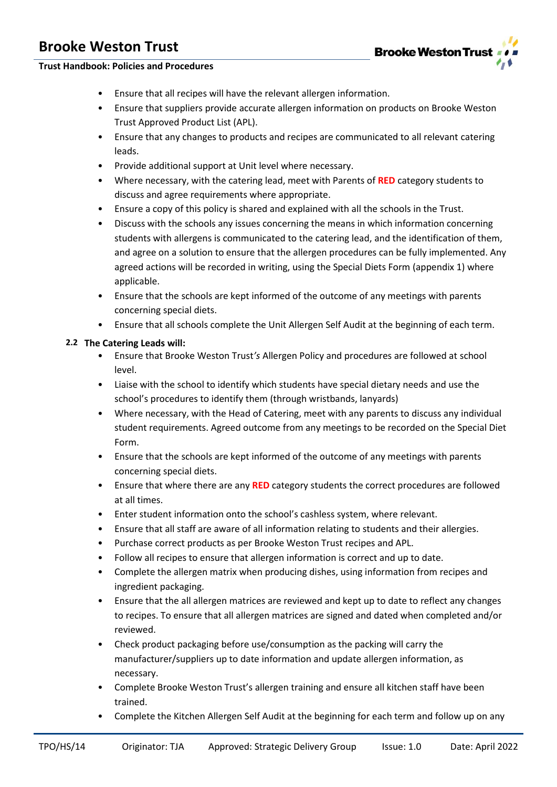

## **Trust Handbook: Policies and Procedures**

- Ensure that all recipes will have the relevant allergen information.
- Ensure that suppliers provide accurate allergen information on products on Brooke Weston Trust Approved Product List (APL).
- Ensure that any changes to products and recipes are communicated to all relevant catering leads.
- Provide additional support at Unit level where necessary.
- Where necessary, with the catering lead, meet with Parents of **RED** category students to discuss and agree requirements where appropriate.
- Ensure a copy of this policy is shared and explained with all the schools in the Trust.
- Discuss with the schools any issues concerning the means in which information concerning students with allergens is communicated to the catering lead, and the identification of them, and agree on a solution to ensure that the allergen procedures can be fully implemented. Any agreed actions will be recorded in writing, using the Special Diets Form (appendix 1) where applicable.
- Ensure that the schools are kept informed of the outcome of any meetings with parents concerning special diets.
- Ensure that all schools complete the Unit Allergen Self Audit at the beginning of each term.

### **2.2 The Catering Leads will:**

- Ensure that Brooke Weston Trust*'s* Allergen Policy and procedures are followed at school level.
- Liaise with the school to identify which students have special dietary needs and use the school's procedures to identify them (through wristbands, lanyards)
- Where necessary, with the Head of Catering, meet with any parents to discuss any individual student requirements. Agreed outcome from any meetings to be recorded on the Special Diet Form.
- Ensure that the schools are kept informed of the outcome of any meetings with parents concerning special diets.
- Ensure that where there are any **RED** category students the correct procedures are followed at all times.
- Enter student information onto the school's cashless system, where relevant.
- Ensure that all staff are aware of all information relating to students and their allergies.
- Purchase correct products as per Brooke Weston Trust recipes and APL.
- Follow all recipes to ensure that allergen information is correct and up to date.
- Complete the allergen matrix when producing dishes, using information from recipes and ingredient packaging.
- Ensure that the all allergen matrices are reviewed and kept up to date to reflect any changes to recipes. To ensure that all allergen matrices are signed and dated when completed and/or reviewed.
- Check product packaging before use/consumption as the packing will carry the manufacturer/suppliers up to date information and update allergen information, as necessary.
- Complete Brooke Weston Trust's allergen training and ensure all kitchen staff have been trained.
- Complete the Kitchen Allergen Self Audit at the beginning for each term and follow up on any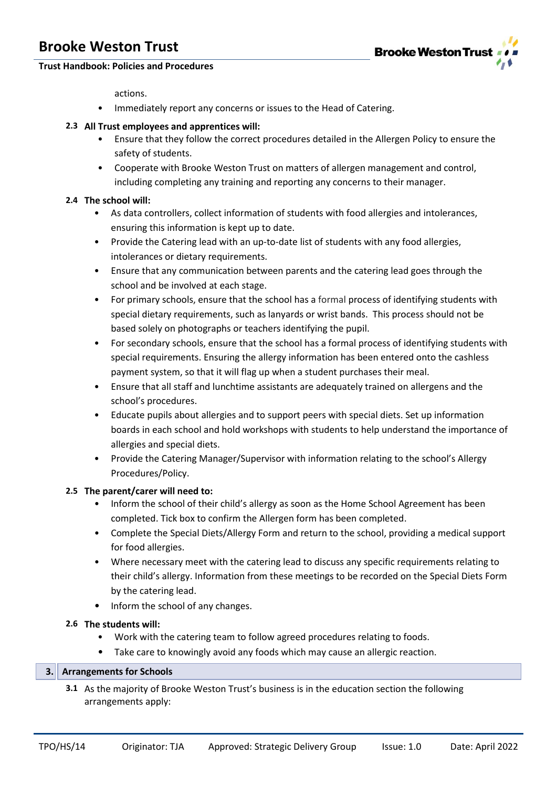

## **Trust Handbook: Policies and Procedures**

actions.

• Immediately report any concerns or issues to the Head of Catering.

### **2.3 All Trust employees and apprentices will:**

- Ensure that they follow the correct procedures detailed in the Allergen Policy to ensure the safety of students.
- Cooperate with Brooke Weston Trust on matters of allergen management and control, including completing any training and reporting any concerns to their manager.

### **2.4 The school will:**

- As data controllers, collect information of students with food allergies and intolerances, ensuring this information is kept up to date.
- Provide the Catering lead with an up-to-date list of students with any food allergies, intolerances or dietary requirements.
- Ensure that any communication between parents and the catering lead goes through the school and be involved at each stage.
- For primary schools, ensure that the school has a formal process of identifying students with special dietary requirements, such as lanyards or wrist bands. This process should not be based solely on photographs or teachers identifying the pupil.
- For secondary schools, ensure that the school has a formal process of identifying students with special requirements. Ensuring the allergy information has been entered onto the cashless payment system, so that it will flag up when a student purchases their meal.
- Ensure that all staff and lunchtime assistants are adequately trained on allergens and the school's procedures.
- Educate pupils about allergies and to support peers with special diets. Set up information boards in each school and hold workshops with students to help understand the importance of allergies and special diets.
- Provide the Catering Manager/Supervisor with information relating to the school's Allergy Procedures/Policy.

### **2.5 The parent/carer will need to:**

- Inform the school of their child's allergy as soon as the Home School Agreement has been completed. Tick box to confirm the Allergen form has been completed.
- Complete the Special Diets/Allergy Form and return to the school, providing a medical support for food allergies.
- Where necessary meet with the catering lead to discuss any specific requirements relating to their child's allergy. Information from these meetings to be recorded on the Special Diets Form by the catering lead.
- Inform the school of any changes.

## **2.6 The students will:**

- Work with the catering team to follow agreed procedures relating to foods.
- Take care to knowingly avoid any foods which may cause an allergic reaction.

### **3. Arrangements for Schools**

**3.1** As the majority of Brooke Weston Trust's business is in the education section the following arrangements apply: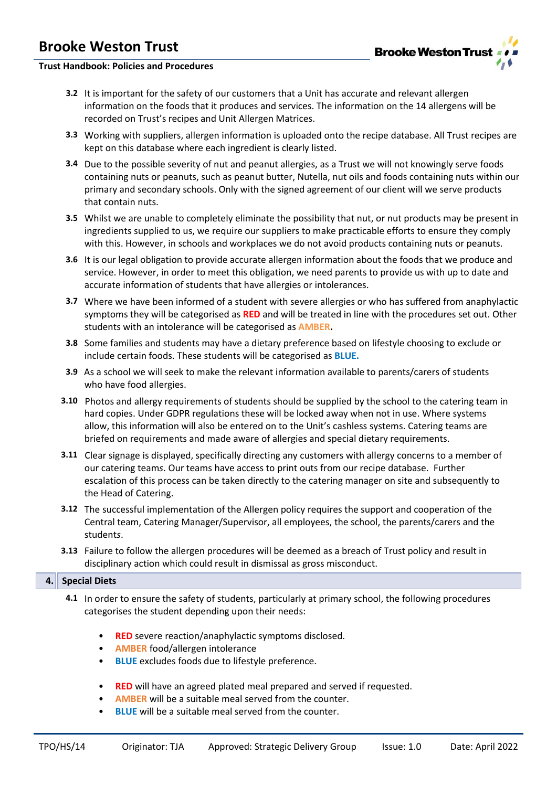

## **Trust Handbook: Policies and Procedures**

- **3.2** It is important for the safety of our customers that a Unit has accurate and relevant allergen information on the foods that it produces and services. The information on the 14 allergens will be recorded on Trust's recipes and Unit Allergen Matrices.
- **3.3** Working with suppliers, allergen information is uploaded onto the recipe database. All Trust recipes are kept on this database where each ingredient is clearly listed.
- **3.4** Due to the possible severity of nut and peanut allergies, as a Trust we will not knowingly serve foods containing nuts or peanuts, such as peanut butter, Nutella, nut oils and foods containing nuts within our primary and secondary schools. Only with the signed agreement of our client will we serve products that contain nuts.
- **3.5** Whilst we are unable to completely eliminate the possibility that nut, or nut products may be present in ingredients supplied to us, we require our suppliers to make practicable efforts to ensure they comply with this. However, in schools and workplaces we do not avoid products containing nuts or peanuts.
- **3.6** It is our legal obligation to provide accurate allergen information about the foods that we produce and service. However, in order to meet this obligation, we need parents to provide us with up to date and accurate information of students that have allergies or intolerances.
- **3.7** Where we have been informed of a student with severe allergies or who has suffered from anaphylactic symptoms they will be categorised as **RED** and will be treated in line with the procedures set out. Other students with an intolerance will be categorised as **AMBER.**
- **3.8** Some families and students may have a dietary preference based on lifestyle choosing to exclude or include certain foods. These students will be categorised as **BLUE.**
- **3.9** As a school we will seek to make the relevant information available to parents/carers of students who have food allergies.
- **3.10** Photos and allergy requirements of students should be supplied by the school to the catering team in hard copies. Under GDPR regulations these will be locked away when not in use. Where systems allow, this information will also be entered on to the Unit's cashless systems. Catering teams are briefed on requirements and made aware of allergies and special dietary requirements.
- **3.11** Clear signage is displayed, specifically directing any customers with allergy concerns to a member of our catering team*s*. Our teams have access to print outs from our recipe database. Further escalation of this process can be taken directly to the catering manager on site and subsequently to the Head of Catering.
- **3.12** The successful implementation of the Allergen policy requires the support and cooperation of the Central team, Catering Manager/Supervisor, all employees, the school, the parents/carers and the student*s*.
- **3.13** Failure to follow the allergen procedures will be deemed as a breach of Trust policy and result in disciplinary action which could result in dismissal as gross misconduct.

### **4. Special Diets**

- **4.1** In order to ensure the safety of students, particularly at primary school, the following procedures categorises the student depending upon their needs:
	- **RED** severe reaction/anaphylactic symptoms disclosed.
	- **AMBER** food/allergen intolerance
	- **BLUE** excludes foods due to lifestyle preference.
	- **RED** will have an agreed plated meal prepared and served if requested.
	- **AMBER** will be a suitable meal served from the counter.
	- **BLUE** will be a suitable meal served from the counter.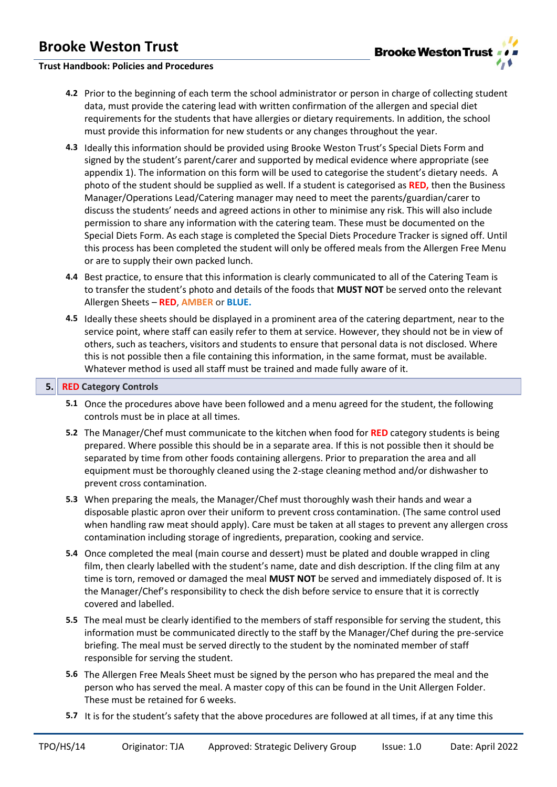### **Trust Handbook: Policies and Procedures**

- **4.2** Prior to the beginning of each term the school administrator or person in charge of collecting student data, must provide the catering lead with written confirmation of the allergen and special diet requirements for the students that have allergies or dietary requirements. In addition, the school must provide this information for new students or any changes throughout the year.
- **4.3** Ideally this information should be provided using Brooke Weston Trust's Special Diets Form and signed by the student's parent/carer and supported by medical evidence where appropriate (see appendix 1). The information on this form will be used to categorise the student's dietary needs. A photo of the student should be supplied as well. If a student is categorised as **RED,** then the Business Manager/Operations Lead/Catering manager may need to meet the parents/guardian/carer to discuss the students' needs and agreed actions in other to minimise any risk. This will also include permission to share any information with the catering team. These must be documented on the Special Diets Form. As each stage is completed the Special Diets Procedure Tracker is signed off. Until this process has been completed the student will only be offered meals from the Allergen Free Menu or are to supply their own packed lunch.
- **4.4** Best practice, to ensure that this information is clearly communicated to all of the Catering Team is to transfer the student's photo and details of the foods that **MUST NOT** be served onto the relevant Allergen Sheets – **RED**, **AMBER** or **BLUE.**
- **4.5** Ideally these sheets should be displayed in a prominent area of the catering department, near to the service point, where staff can easily refer to them at service. However, they should not be in view of others, such as teachers, visitors and students to ensure that personal data is not disclosed. Where this is not possible then a file containing this information, in the same format, must be available. Whatever method is used all staff must be trained and made fully aware of it.

#### **5. RED Category Controls**

- **5.1** Once the procedures above have been followed and a menu agreed for the student, the following controls must be in place at all times.
- **5.2** The Manager/Chef must communicate to the kitchen when food for **RED** category students is being prepared. Where possible this should be in a separate area. If this is not possible then it should be separated by time from other foods containing allergens. Prior to preparation the area and all equipment must be thoroughly cleaned using the 2-stage cleaning method and/or dishwasher to prevent cross contamination.
- **5.3** When preparing the meals, the Manager/Chef must thoroughly wash their hands and wear a disposable plastic apron over their uniform to prevent cross contamination. (The same control used when handling raw meat should apply). Care must be taken at all stages to prevent any allergen cross contamination including storage of ingredients, preparation, cooking and service.
- **5.4** Once completed the meal (main course and dessert) must be plated and double wrapped in cling film, then clearly labelled with the student's name, date and dish description. If the cling film at any time is torn, removed or damaged the meal **MUST NOT** be served and immediately disposed of. It is the Manager/Chef's responsibility to check the dish before service to ensure that it is correctly covered and labelled.
- **5.5** The meal must be clearly identified to the members of staff responsible for serving the student, this information must be communicated directly to the staff by the Manager/Chef during the pre-service briefing. The meal must be served directly to the student by the nominated member of staff responsible for serving the student.
- **5.6** The Allergen Free Meals Sheet must be signed by the person who has prepared the meal and the person who has served the meal. A master copy of this can be found in the Unit Allergen Folder. These must be retained for 6 weeks.
- **5.7** It is for the student's safety that the above procedures are followed at all times, if at any time this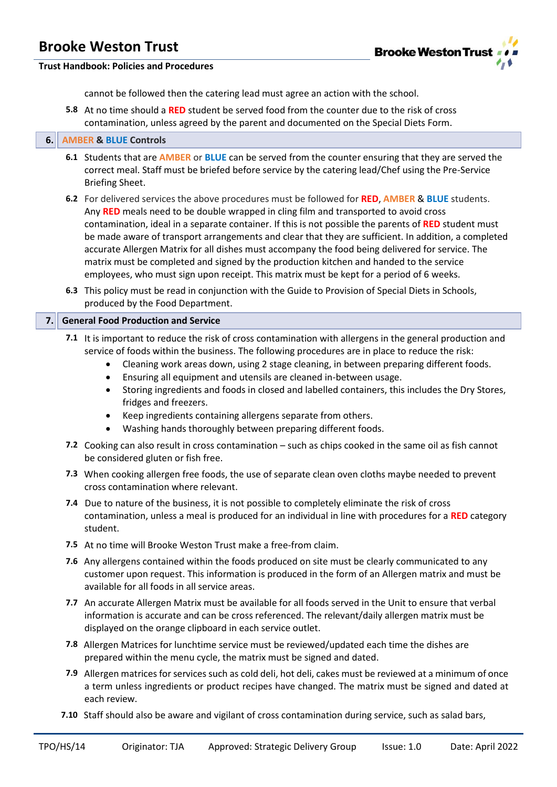

### **Trust Handbook: Policies and Procedures**

cannot be followed then the catering lead must agree an action with the school.

**5.8** At no time should a **RED** student be served food from the counter due to the risk of cross contamination, unless agreed by the parent and documented on the Special Diets Form.

#### **6. AMBER & BLUE Controls**

- **6.1** Students that are **AMBER** or **BLUE** can be served from the counter ensuring that they are served the correct meal. Staff must be briefed before service by the catering lead/Chef using the Pre-Service Briefing Sheet.
- **6.2** For delivered services the above procedures must be followed for **RED**, **AMBER** & **BLUE** students. Any **RED** meals need to be double wrapped in cling film and transported to avoid cross contamination, ideal in a separate container. If this is not possible the parents of **RED** student must be made aware of transport arrangements and clear that they are sufficient. In addition, a completed accurate Allergen Matrix for all dishes must accompany the food being delivered for service. The matrix must be completed and signed by the production kitchen and handed to the service employees, who must sign upon receipt. This matrix must be kept for a period of 6 weeks.
- **6.3** This policy must be read in conjunction with the Guide to Provision of Special Diets in Schools, produced by the Food Department.

#### **7. General Food Production and Service**

- **7.1** It is important to reduce the risk of cross contamination with allergens in the general production and service of foods within the business. The following procedures are in place to reduce the risk:
	- Cleaning work areas down, using 2 stage cleaning, in between preparing different foods.
	- Ensuring all equipment and utensils are cleaned in-between usage.
	- Storing ingredients and foods in closed and labelled containers, this includes the Dry Stores, fridges and freezers.
	- Keep ingredients containing allergens separate from others.
	- Washing hands thoroughly between preparing different foods.
- **7.2** Cooking can also result in cross contamination such as chips cooked in the same oil as fish cannot be considered gluten or fish free.
- **7.3** When cooking allergen free foods, the use of separate clean oven cloths maybe needed to prevent cross contamination where relevant.
- **7.4** Due to nature of the business, it is not possible to completely eliminate the risk of cross contamination, unless a meal is produced for an individual in line with procedures for a **RED** category student.
- **7.5** At no time will Brooke Weston Trust make a free-from claim.
- **7.6** Any allergens contained within the foods produced on site must be clearly communicated to any customer upon request. This information is produced in the form of an Allergen matrix and must be available for all foods in all service areas.
- **7.7** An accurate Allergen Matrix must be available for all foods served in the Unit to ensure that verbal information is accurate and can be cross referenced. The relevant/daily allergen matrix must be displayed on the orange clipboard in each service outlet.
- **7.8** Allergen Matrices for lunchtime service must be reviewed/updated each time the dishes are prepared within the menu cycle, the matrix must be signed and dated.
- **7.9** Allergen matrices for services such as cold deli, hot deli, cakes must be reviewed at a minimum of once a term unless ingredients or product recipes have changed. The matrix must be signed and dated at each review.
- **7.10** Staff should also be aware and vigilant of cross contamination during service, such as salad bars,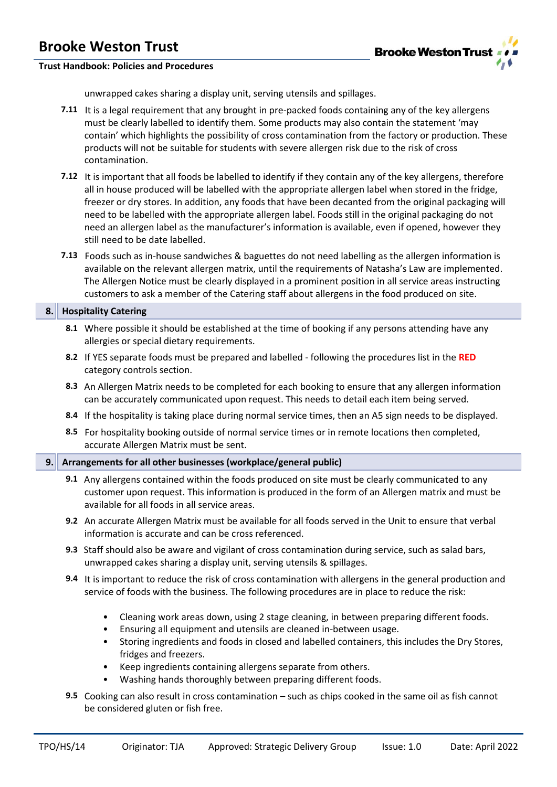

## **Trust Handbook: Policies and Procedures**

unwrapped cakes sharing a display unit, serving utensils and spillages.

- **7.11** It is a legal requirement that any brought in pre-packed foods containing any of the key allergens must be clearly labelled to identify them. Some products may also contain the statement 'may contain' which highlights the possibility of cross contamination from the factory or production. These products will not be suitable for students with severe allergen risk due to the risk of cross contamination.
- **7.12** It is important that all foods be labelled to identify if they contain any of the key allergens, therefore all in house produced will be labelled with the appropriate allergen label when stored in the fridge, freezer or dry stores. In addition, any foods that have been decanted from the original packaging will need to be labelled with the appropriate allergen label. Foods still in the original packaging do not need an allergen label as the manufacturer's information is available, even if opened, however they still need to be date labelled.
- **7.13** Foods such as in-house sandwiches & baguettes do not need labelling as the allergen information is available on the relevant allergen matrix, until the requirements of Natasha's Law are implemented. The Allergen Notice must be clearly displayed in a prominent position in all service areas instructing customers to ask a member of the Catering staff about allergens in the food produced on site.

#### **8. Hospitality Catering**

- **8.1** Where possible it should be established at the time of booking if any persons attending have any allergies or special dietary requirements.
- **8.2** If YES separate foods must be prepared and labelled following the procedures list in the **RED**  category controls section.
- **8.3** An Allergen Matrix needs to be completed for each booking to ensure that any allergen information can be accurately communicated upon request. This needs to detail each item being served.
- **8.4** If the hospitality is taking place during normal service times, then an A5 sign needs to be displayed.
- **8.5** For hospitality booking outside of normal service times or in remote locations then completed, accurate Allergen Matrix must be sent.

### **9. Arrangements for all other businesses (workplace/general public)**

- **9.1** Any allergens contained within the foods produced on site must be clearly communicated to any customer upon request. This information is produced in the form of an Allergen matrix and must be available for all foods in all service areas.
- **9.2** An accurate Allergen Matrix must be available for all foods served in the Unit to ensure that verbal information is accurate and can be cross referenced.
- **9.3** Staff should also be aware and vigilant of cross contamination during service, such as salad bars, unwrapped cakes sharing a display unit, serving utensils & spillages.
- **9.4** It is important to reduce the risk of cross contamination with allergens in the general production and service of foods with the business. The following procedures are in place to reduce the risk:
	- Cleaning work areas down, using 2 stage cleaning, in between preparing different foods.
	- Ensuring all equipment and utensils are cleaned in-between usage.
	- Storing ingredients and foods in closed and labelled containers, this includes the Dry Stores, fridges and freezers.
	- Keep ingredients containing allergens separate from others.
	- Washing hands thoroughly between preparing different foods.
- **9.5** Cooking can also result in cross contamination such as chips cooked in the same oil as fish cannot be considered gluten or fish free.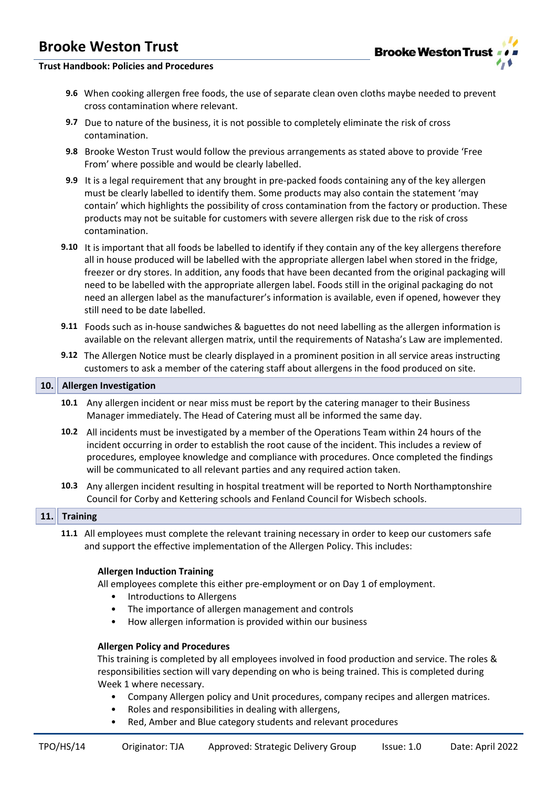

### **Trust Handbook: Policies and Procedures**

- **9.6** When cooking allergen free foods, the use of separate clean oven cloths maybe needed to prevent cross contamination where relevant.
- **9.7** Due to nature of the business, it is not possible to completely eliminate the risk of cross contamination.
- **9.8** Brooke Weston Trust would follow the previous arrangements as stated above to provide 'Free From' where possible and would be clearly labelled.
- **9.9** It is a legal requirement that any brought in pre-packed foods containing any of the key allergen must be clearly labelled to identify them. Some products may also contain the statement 'may contain' which highlights the possibility of cross contamination from the factory or production. These products may not be suitable for customers with severe allergen risk due to the risk of cross contamination.
- **9.10** It is important that all foods be labelled to identify if they contain any of the key allergens therefore all in house produced will be labelled with the appropriate allergen label when stored in the fridge, freezer or dry stores. In addition, any foods that have been decanted from the original packaging will need to be labelled with the appropriate allergen label. Foods still in the original packaging do not need an allergen label as the manufacturer's information is available, even if opened, however they still need to be date labelled.
- **9.11** Foods such as in-house sandwiches & baguettes do not need labelling as the allergen information is available on the relevant allergen matrix, until the requirements of Natasha's Law are implemented.
- **9.12** The Allergen Notice must be clearly displayed in a prominent position in all service areas instructing customers to ask a member of the catering staff about allergens in the food produced on site.

#### **10. Allergen Investigation**

- **10.1** Any allergen incident or near miss must be report by the catering manager to their Business Manager immediately. The Head of Catering must all be informed the same day.
- **10.2** All incidents must be investigated by a member of the Operations Team within 24 hours of the incident occurring in order to establish the root cause of the incident. This includes a review of procedures, employee knowledge and compliance with procedures. Once completed the findings will be communicated to all relevant parties and any required action taken.
- **10.3** Any allergen incident resulting in hospital treatment will be reported to North Northamptonshire Council for Corby and Kettering schools and Fenland Council for Wisbech schools.

#### **11. Training**

**11.1** All employees must complete the relevant training necessary in order to keep our customers safe and support the effective implementation of the Allergen Policy. This includes:

#### **Allergen Induction Training**

All employees complete this either pre-employment or on Day 1 of employment.

- Introductions to Allergens
- The importance of allergen management and controls
- How allergen information is provided within our business

#### **Allergen Policy and Procedures**

This training is completed by all employees involved in food production and service. The roles & responsibilities section will vary depending on who is being trained. This is completed during Week 1 where necessary.

- Company Allergen policy and Unit procedures, company recipes and allergen matrices.
- Roles and responsibilities in dealing with allergens,
- Red, Amber and Blue category students and relevant procedures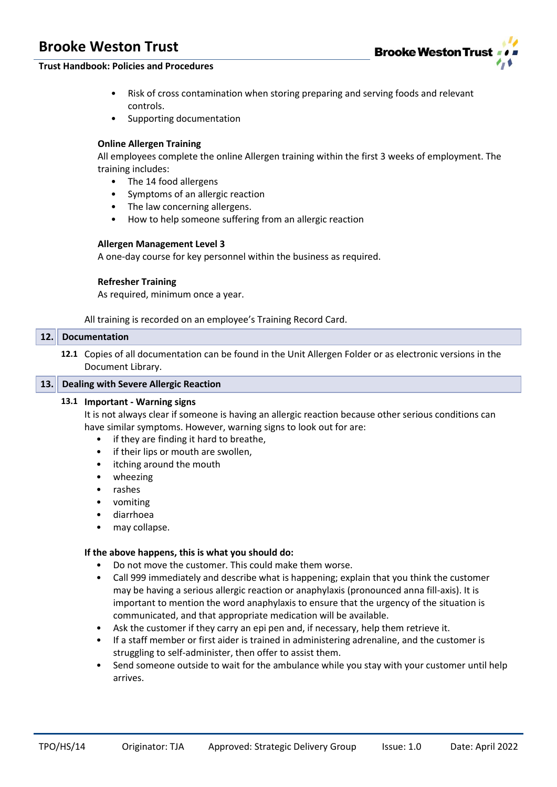

### **Trust Handbook: Policies and Procedures**

- Risk of cross contamination when storing preparing and serving foods and relevant controls.
- Supporting documentation

#### **Online Allergen Training**

All employees complete the online Allergen training within the first 3 weeks of employment. The training includes:

- The 14 food allergens
- Symptoms of an allergic reaction
- The law concerning allergens.
- How to help someone suffering from an allergic reaction

#### **Allergen Management Level 3**

A one-day course for key personnel within the business as required.

#### **Refresher Training**

As required, minimum once a year.

All training is recorded on an employee's Training Record Card.

#### **12. Documentation**

**12.1** Copies of all documentation can be found in the Unit Allergen Folder or as electronic versions in the Document Library.

#### **13. Dealing with Severe Allergic Reaction**

#### **13.1 Important - Warning signs**

It is not always clear if someone is having an allergic reaction because other serious conditions can have similar symptoms. However, warning signs to look out for are:

- if they are finding it hard to breathe,
- if their lips or mouth are swollen,
- itching around the mouth
- wheezing
- rashes
- vomiting
- diarrhoea
- may collapse.

#### **If the above happens, this is what you should do:**

- Do not move the customer. This could make them worse.
- Call 999 immediately and describe what is happening; explain that you think the customer may be having a serious allergic reaction or anaphylaxis (pronounced anna fill-axis). It is important to mention the word anaphylaxis to ensure that the urgency of the situation is communicated, and that appropriate medication will be available.
- Ask the customer if they carry an epi pen and, if necessary, help them retrieve it.
- If a staff member or first aider is trained in administering adrenaline, and the customer is struggling to self-administer, then offer to assist them.
- Send someone outside to wait for the ambulance while you stay with your customer until help arrives.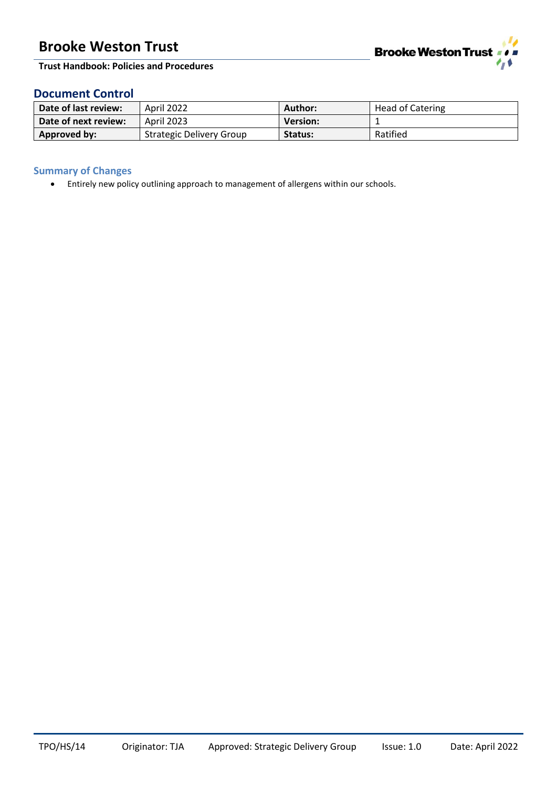

**Trust Handbook: Policies and Procedures**

## **Document Control**

| Date of last review: | April 2022                      | Author:         | <b>Head of Catering</b> |
|----------------------|---------------------------------|-----------------|-------------------------|
| Date of next review: | <b>April 2023</b>               | <b>Version:</b> |                         |
| Approved by:         | <b>Strategic Delivery Group</b> | Status:         | Ratified                |

## **Summary of Changes**

• Entirely new policy outlining approach to management of allergens within our schools.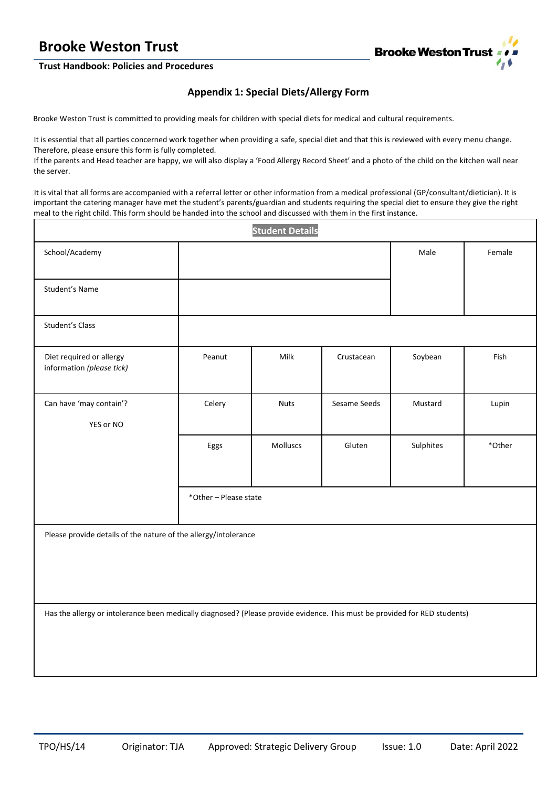

### **Trust Handbook: Policies and Procedures**

## **Appendix 1: Special Diets/Allergy Form**

Brooke Weston Trust is committed to providing meals for children with special diets for medical and cultural requirements.

It is essential that all parties concerned work together when providing a safe, special diet and that this is reviewed with every menu change. Therefore, please ensure this form is fully completed.

If the parents and Head teacher are happy, we will also display a 'Food Allergy Record Sheet' and a photo of the child on the kitchen wall near the server.

It is vital that all forms are accompanied with a referral letter or other information from a medical professional (GP/consultant/dietician). It is important the catering manager have met the student's parents/guardian and students requiring the special diet to ensure they give the right meal to the right child. This form should be handed into the school and discussed with them in the first instance.

| <b>Student Details</b>                                                                                                     |                       |             |              |           |        |
|----------------------------------------------------------------------------------------------------------------------------|-----------------------|-------------|--------------|-----------|--------|
| School/Academy                                                                                                             |                       |             |              | Male      | Female |
| Student's Name                                                                                                             |                       |             |              |           |        |
| Student's Class                                                                                                            |                       |             |              |           |        |
| Diet required or allergy<br>information (please tick)                                                                      | Peanut                | Milk        | Crustacean   | Soybean   | Fish   |
| Can have 'may contain'?<br>YES or NO                                                                                       | Celery                | <b>Nuts</b> | Sesame Seeds | Mustard   | Lupin  |
|                                                                                                                            | Eggs                  | Molluscs    | Gluten       | Sulphites | *Other |
|                                                                                                                            | *Other - Please state |             |              |           |        |
| Please provide details of the nature of the allergy/intolerance                                                            |                       |             |              |           |        |
| Has the allergy or intolerance been medically diagnosed? (Please provide evidence. This must be provided for RED students) |                       |             |              |           |        |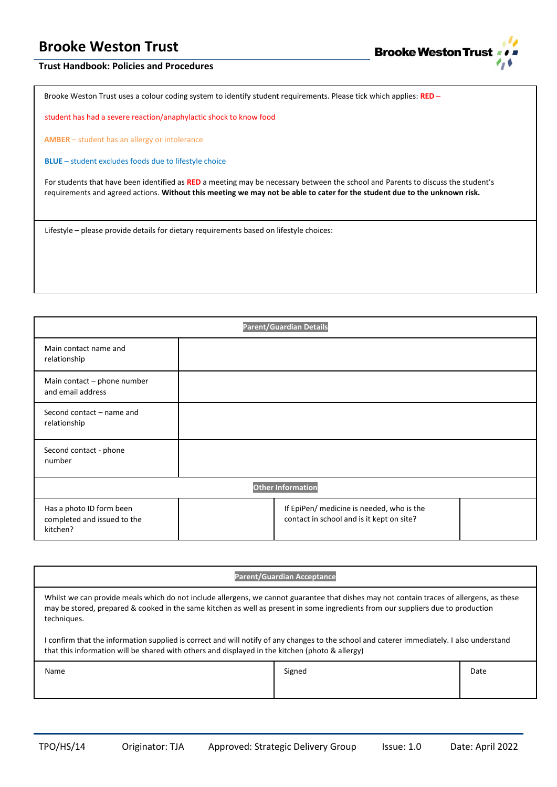

### **Trust Handbook: Policies and Procedures**

Brooke Weston Trust uses a colour coding system to identify student requirements. Please tick which applies: **RED** –

student has had a severe reaction/anaphylactic shock to know food

**AMBER** – student has an allergy or intolerance

**BLUE** – student excludes foods due to lifestyle choice

For students that have been identified as **RED** a meeting may be necessary between the school and Parents to discuss the student's requirements and agreed actions. **Without this meeting we may not be able to cater for the student due to the unknown risk.**

Lifestyle – please provide details for dietary requirements based on lifestyle choices:

| <b>Parent/Guardian Details</b>                                      |  |                                                                                        |  |  |
|---------------------------------------------------------------------|--|----------------------------------------------------------------------------------------|--|--|
| Main contact name and<br>relationship                               |  |                                                                                        |  |  |
| Main contact - phone number<br>and email address                    |  |                                                                                        |  |  |
| Second contact - name and<br>relationship                           |  |                                                                                        |  |  |
| Second contact - phone<br>number                                    |  |                                                                                        |  |  |
| <b>Other Information</b>                                            |  |                                                                                        |  |  |
| Has a photo ID form been<br>completed and issued to the<br>kitchen? |  | If EpiPen/ medicine is needed, who is the<br>contact in school and is it kept on site? |  |  |

| <b>Parent/Guardian Acceptance</b>                                                                                                                                                                                                                                                            |        |      |  |
|----------------------------------------------------------------------------------------------------------------------------------------------------------------------------------------------------------------------------------------------------------------------------------------------|--------|------|--|
| Whilst we can provide meals which do not include allergens, we cannot guarantee that dishes may not contain traces of allergens, as these<br>may be stored, prepared & cooked in the same kitchen as well as present in some ingredients from our suppliers due to production<br>techniques. |        |      |  |
| I confirm that the information supplied is correct and will notify of any changes to the school and caterer immediately. I also understand<br>that this information will be shared with others and displayed in the kitchen (photo & allergy)                                                |        |      |  |
| Name                                                                                                                                                                                                                                                                                         | Signed | Date |  |
|                                                                                                                                                                                                                                                                                              |        |      |  |